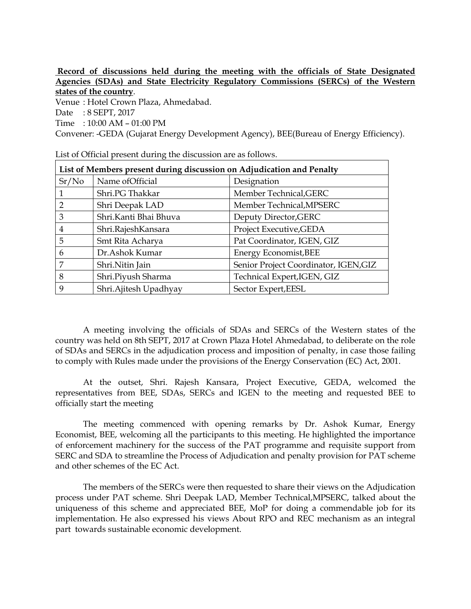## **Record of discussions held during the meeting with the officials of State Designated Agencies (SDAs) and State Electricity Regulatory Commissions (SERCs) of the Western states of the country**.

Venue : Hotel Crown Plaza, Ahmedabad.

Date : 8 SEPT, 2017

Time : 10:00 AM – 01:00 PM

Convener: -GEDA (Gujarat Energy Development Agency), BEE(Bureau of Energy Efficiency).

| List of Members present during discussion on Adjudication and Penalty |                        |                                       |
|-----------------------------------------------------------------------|------------------------|---------------------------------------|
| Sr/No                                                                 | Name of Official       | Designation                           |
|                                                                       | Shri.PG Thakkar        | Member Technical, GERC                |
| $\mathcal{D}$                                                         | Shri Deepak LAD        | Member Technical, MPSERC              |
| 3                                                                     | Shri.Kanti Bhai Bhuva  | Deputy Director, GERC                 |
| 4                                                                     | Shri.RajeshKansara     | Project Executive, GEDA               |
| 5                                                                     | Smt Rita Acharya       | Pat Coordinator, IGEN, GIZ            |
| 6                                                                     | Dr. Ashok Kumar        | Energy Economist, BEE                 |
| 7                                                                     | Shri.Nitin Jain        | Senior Project Coordinator, IGEN, GIZ |
| 8                                                                     | Shri.Piyush Sharma     | Technical Expert, IGEN, GIZ           |
| 9                                                                     | Shri. Ajitesh Upadhyay | Sector Expert, EESL                   |

List of Official present during the discussion are as follows.

A meeting involving the officials of SDAs and SERCs of the Western states of the country was held on 8th SEPT, 2017 at Crown Plaza Hotel Ahmedabad, to deliberate on the role of SDAs and SERCs in the adjudication process and imposition of penalty, in case those failing to comply with Rules made under the provisions of the Energy Conservation (EC) Act, 2001.

At the outset, Shri. Rajesh Kansara, Project Executive, GEDA, welcomed the representatives from BEE, SDAs, SERCs and IGEN to the meeting and requested BEE to officially start the meeting

The meeting commenced with opening remarks by Dr. Ashok Kumar, Energy Economist, BEE, welcoming all the participants to this meeting. He highlighted the importance of enforcement machinery for the success of the PAT programme and requisite support from SERC and SDA to streamline the Process of Adjudication and penalty provision for PAT scheme and other schemes of the EC Act.

The members of the SERCs were then requested to share their views on the Adjudication process under PAT scheme. Shri Deepak LAD, Member Technical,MPSERC, talked about the uniqueness of this scheme and appreciated BEE, MoP for doing a commendable job for its implementation. He also expressed his views About RPO and REC mechanism as an integral part towards sustainable economic development.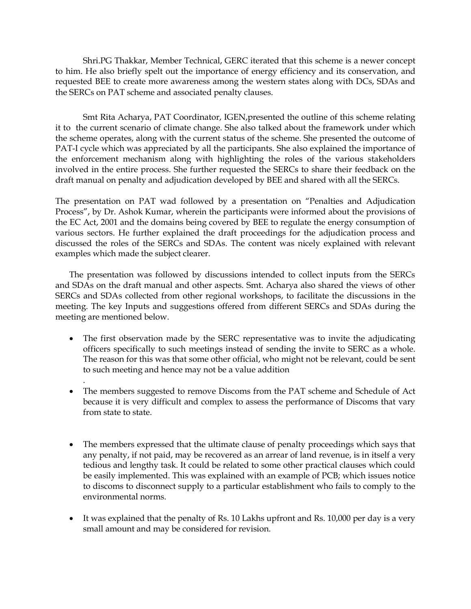Shri.PG Thakkar, Member Technical, GERC iterated that this scheme is a newer concept to him. He also briefly spelt out the importance of energy efficiency and its conservation, and requested BEE to create more awareness among the western states along with DCs, SDAs and the SERCs on PAT scheme and associated penalty clauses.

Smt Rita Acharya, PAT Coordinator, IGEN,presented the outline of this scheme relating it to the current scenario of climate change. She also talked about the framework under which the scheme operates, along with the current status of the scheme. She presented the outcome of PAT-I cycle which was appreciated by all the participants. She also explained the importance of the enforcement mechanism along with highlighting the roles of the various stakeholders involved in the entire process. She further requested the SERCs to share their feedback on the draft manual on penalty and adjudication developed by BEE and shared with all the SERCs.

The presentation on PAT wad followed by a presentation on "Penalties and Adjudication Process", by Dr. Ashok Kumar, wherein the participants were informed about the provisions of the EC Act, 2001 and the domains being covered by BEE to regulate the energy consumption of various sectors. He further explained the draft proceedings for the adjudication process and discussed the roles of the SERCs and SDAs. The content was nicely explained with relevant examples which made the subject clearer.

The presentation was followed by discussions intended to collect inputs from the SERCs and SDAs on the draft manual and other aspects. Smt. Acharya also shared the views of other SERCs and SDAs collected from other regional workshops, to facilitate the discussions in the meeting. The key Inputs and suggestions offered from different SERCs and SDAs during the meeting are mentioned below.

- The first observation made by the SERC representative was to invite the adjudicating officers specifically to such meetings instead of sending the invite to SERC as a whole. The reason for this was that some other official, who might not be relevant, could be sent to such meeting and hence may not be a value addition
- The members suggested to remove Discoms from the PAT scheme and Schedule of Act because it is very difficult and complex to assess the performance of Discoms that vary from state to state.

.

- The members expressed that the ultimate clause of penalty proceedings which says that any penalty, if not paid, may be recovered as an arrear of land revenue, is in itself a very tedious and lengthy task. It could be related to some other practical clauses which could be easily implemented. This was explained with an example of PCB; which issues notice to discoms to disconnect supply to a particular establishment who fails to comply to the environmental norms.
- It was explained that the penalty of Rs. 10 Lakhs upfront and Rs. 10,000 per day is a very small amount and may be considered for revision.